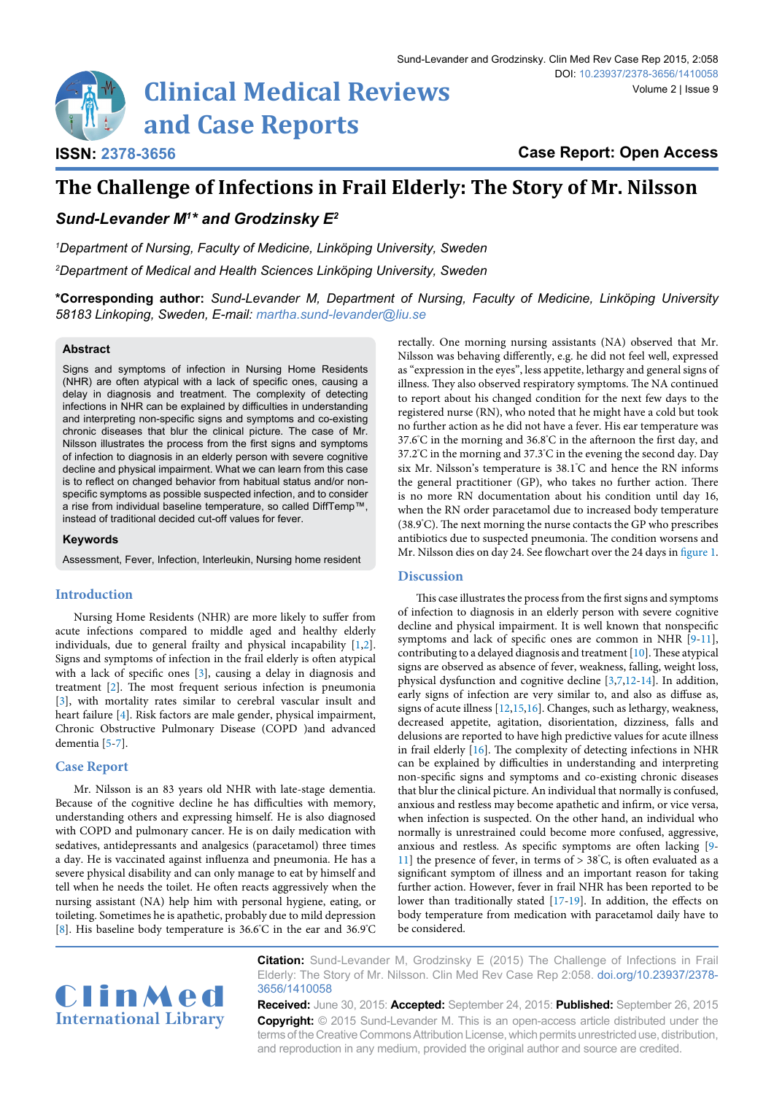# **Clinical Medical Reviews and Case Reports**

**Case Report: Open Access**

# **The Challenge of Infections in Frail Elderly: The Story of Mr. Nilsson**

*Sund-Levander M1 \* and Grodzinsky E2*

*1 Department of Nursing, Faculty of Medicine, Linköping University, Sweden*

*2 Department of Medical and Health Sciences Linköping University, Sweden*

**\*Corresponding author:** *Sund-Levander M, Department of Nursing, Faculty of Medicine, Linköping University 58183 Linkoping, Sweden, E-mail: martha.sund-levander@liu.se*

# **Abstract**

**ISSN: 2378-3656**

Signs and symptoms of infection in Nursing Home Residents (NHR) are often atypical with a lack of specific ones, causing a delay in diagnosis and treatment. The complexity of detecting infections in NHR can be explained by difficulties in understanding and interpreting non-specific signs and symptoms and co-existing chronic diseases that blur the clinical picture. The case of Mr. Nilsson illustrates the process from the first signs and symptoms of infection to diagnosis in an elderly person with severe cognitive decline and physical impairment. What we can learn from this case is to reflect on changed behavior from habitual status and/or nonspecific symptoms as possible suspected infection, and to consider a rise from individual baseline temperature, so called DiffTemp™, instead of traditional decided cut-off values for fever.

# **Keywords**

Assessment, Fever, Infection, Interleukin, Nursing home resident

# **Introduction**

Nursing Home Residents (NHR) are more likely to suffer from acute infections compared to middle aged and healthy elderly individuals, due to general frailty and physical incapability [\[1,](#page-1-12)[2\]](#page-1-13). Signs and symptoms of infection in the frail elderly is often atypical with a lack of specific ones [[3\]](#page-1-4), causing a delay in diagnosis and treatment [\[2](#page-1-13)]. The most frequent serious infection is pneumonia [[3\]](#page-1-4), with mortality rates similar to cerebral vascular insult and heart failure [\[4\]](#page-1-14). Risk factors are male gender, physical impairment, Chronic Obstructive Pulmonary Disease (COPD )and advanced dementia [\[5-](#page-1-15)[7](#page-1-5)].

# **Case Report**

Mr. Nilsson is an 83 years old NHR with late-stage dementia. Because of the cognitive decline he has difficulties with memory, understanding others and expressing himself. He is also diagnosed with COPD and pulmonary cancer. He is on daily medication with sedatives, antidepressants and analgesics (paracetamol) three times a day. He is vaccinated against influenza and pneumonia. He has a severe physical disability and can only manage to eat by himself and tell when he needs the toilet. He often reacts aggressively when the nursing assistant (NA) help him with personal hygiene, eating, or toileting. Sometimes he is apathetic, probably due to mild depression [[8\]](#page-1-16). His baseline body temperature is 36.6° C in the ear and 36.9° C

rectally. One morning nursing assistants (NA) observed that Mr. Nilsson was behaving differently, e.g. he did not feel well, expressed as "expression in the eyes", less appetite, lethargy and general signs of illness. They also observed respiratory symptoms. The NA continued to report about his changed condition for the next few days to the registered nurse (RN), who noted that he might have a cold but took no further action as he did not have a fever. His ear temperature was 37.6° C in the morning and 36.8° C in the afternoon the first day, and 37.2° C in the morning and 37.3° C in the evening the second day. Day six Mr. Nilsson's temperature is 38.1° C and hence the RN informs the general practitioner (GP), who takes no further action. There is no more RN documentation about his condition until day 16, when the RN order paracetamol due to increased body temperature (38.9° C). The next morning the nurse contacts the GP who prescribes antibiotics due to suspected pneumonia. The condition worsens and Mr. Nilsson dies on day 24. See flowchart over the 24 days in [figure 1.](#page-1-0)

# **Discussion**

This case illustrates the process from the first signs and symptoms of infection to diagnosis in an elderly person with severe cognitive decline and physical impairment. It is well known that nonspecific symptoms and lack of specific ones are common in NHR [\[9-](#page-1-1)[11\]](#page-1-2), contributing to a delayed diagnosis and treatment [\[10\]](#page-1-3). These atypical signs are observed as absence of fever, weakness, falling, weight loss, physical dysfunction and cognitive decline [\[3,](#page-1-4)[7,](#page-1-5)[12-](#page-1-6)[14](#page-1-7)]. In addition, early signs of infection are very similar to, and also as diffuse as, signs of acute illness [[12](#page-1-6)[,15](#page-1-8)[,16\]](#page-1-9). Changes, such as lethargy, weakness, decreased appetite, agitation, disorientation, dizziness, falls and delusions are reported to have high predictive values for acute illness in frail elderly [[16](#page-1-9)]. The complexity of detecting infections in NHR can be explained by difficulties in understanding and interpreting non-specific signs and symptoms and co-existing chronic diseases that blur the clinical picture. An individual that normally is confused, anxious and restless may become apathetic and infirm, or vice versa, when infection is suspected. On the other hand, an individual who normally is unrestrained could become more confused, aggressive, anxious and restless. As specific symptoms are often lacking [\[9-](#page-1-1) [11\]](#page-1-2) the presence of fever, in terms of  $> 38^{\circ}$ C, is often evaluated as a significant symptom of illness and an important reason for taking further action. However, fever in frail NHR has been reported to be lower than traditionally stated [[17](#page-1-10)[-19](#page-1-11)]. In addition, the effects on body temperature from medication with paracetamol daily have to be considered.



**Citation:** Sund-Levander M, Grodzinsky E (2015) The Challenge of Infections in Frail Elderly: The Story of Mr. Nilsson. Clin Med Rev Case Rep 2:058. [doi.org/10.23937/2378-](https://doi.org/10.23937/2378-3656/1410058) [3656/1410058](https://doi.org/10.23937/2378-3656/1410058)

**Received:** June 30, 2015: **Accepted:** September 24, 2015: **Published:** September 26, 2015 **Copyright:** © 2015 Sund-Levander M. This is an open-access article distributed under the terms of the Creative Commons Attribution License, which permits unrestricted use, distribution, and reproduction in any medium, provided the original author and source are credited.